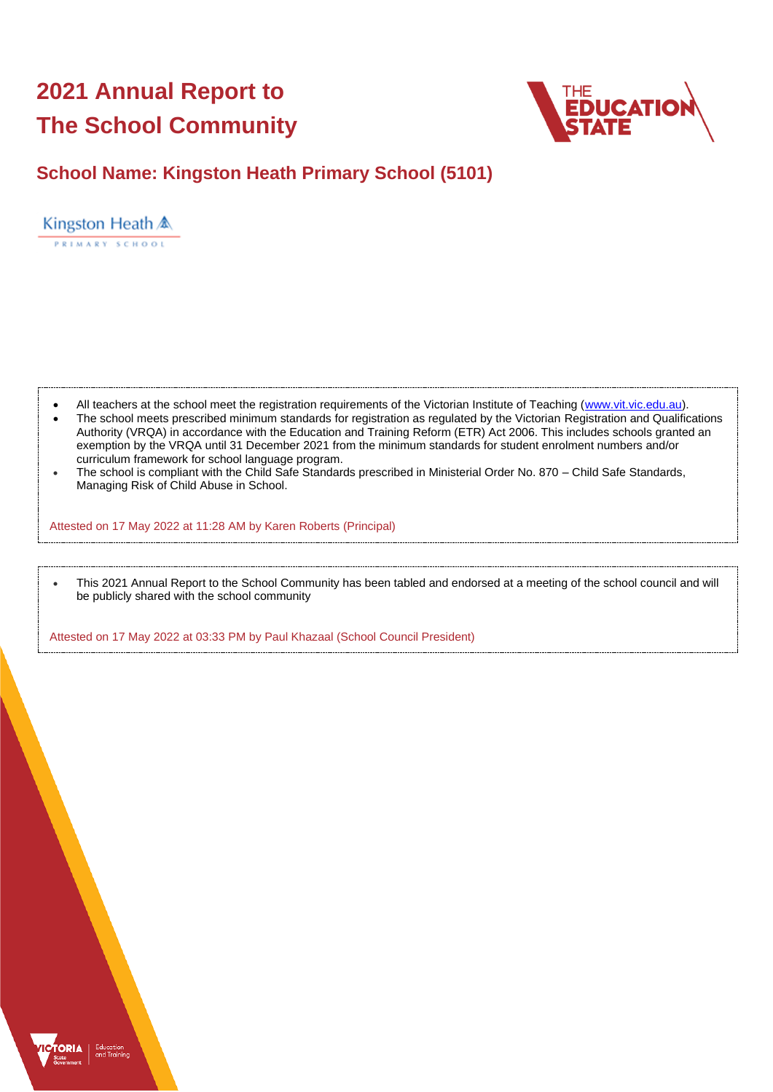# **2021 Annual Report to The School Community**



## **School Name: Kingston Heath Primary School (5101)**

Kingston Heath & PRIMARY SCHOOL

- All teachers at the school meet the registration requirements of the Victorian Institute of Teaching [\(www.vit.vic.edu.au\)](https://www.vit.vic.edu.au/).
- The school meets prescribed minimum standards for registration as regulated by the Victorian Registration and Qualifications Authority (VRQA) in accordance with the Education and Training Reform (ETR) Act 2006. This includes schools granted an exemption by the VRQA until 31 December 2021 from the minimum standards for student enrolment numbers and/or curriculum framework for school language program.
- The school is compliant with the Child Safe Standards prescribed in Ministerial Order No. 870 Child Safe Standards, Managing Risk of Child Abuse in School.

Attested on 17 May 2022 at 11:28 AM by Karen Roberts (Principal)

• This 2021 Annual Report to the School Community has been tabled and endorsed at a meeting of the school council and will be publicly shared with the school community

Attested on 17 May 2022 at 03:33 PM by Paul Khazaal (School Council President)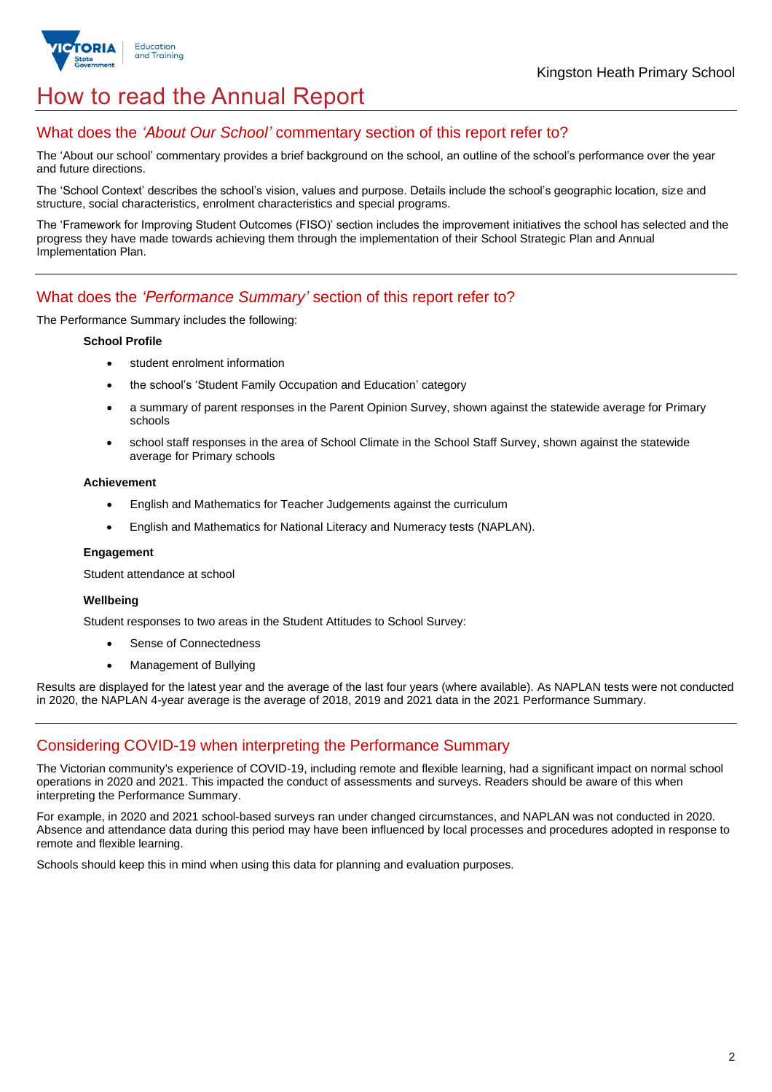

## How to read the Annual Report

## What does the *'About Our School'* commentary section of this report refer to?

The 'About our school' commentary provides a brief background on the school, an outline of the school's performance over the year and future directions.

The 'School Context' describes the school's vision, values and purpose. Details include the school's geographic location, size and structure, social characteristics, enrolment characteristics and special programs.

The 'Framework for Improving Student Outcomes (FISO)' section includes the improvement initiatives the school has selected and the progress they have made towards achieving them through the implementation of their School Strategic Plan and Annual Implementation Plan.

### What does the *'Performance Summary'* section of this report refer to?

The Performance Summary includes the following:

#### **School Profile**

- student enrolment information
- the school's 'Student Family Occupation and Education' category
- a summary of parent responses in the Parent Opinion Survey, shown against the statewide average for Primary schools
- school staff responses in the area of School Climate in the School Staff Survey, shown against the statewide average for Primary schools

#### **Achievement**

- English and Mathematics for Teacher Judgements against the curriculum
- English and Mathematics for National Literacy and Numeracy tests (NAPLAN).

#### **Engagement**

Student attendance at school

#### **Wellbeing**

Student responses to two areas in the Student Attitudes to School Survey:

- Sense of Connectedness
- Management of Bullying

Results are displayed for the latest year and the average of the last four years (where available). As NAPLAN tests were not conducted in 2020, the NAPLAN 4-year average is the average of 2018, 2019 and 2021 data in the 2021 Performance Summary.

## Considering COVID-19 when interpreting the Performance Summary

The Victorian community's experience of COVID-19, including remote and flexible learning, had a significant impact on normal school operations in 2020 and 2021. This impacted the conduct of assessments and surveys. Readers should be aware of this when interpreting the Performance Summary.

For example, in 2020 and 2021 school-based surveys ran under changed circumstances, and NAPLAN was not conducted in 2020. Absence and attendance data during this period may have been influenced by local processes and procedures adopted in response to remote and flexible learning.

Schools should keep this in mind when using this data for planning and evaluation purposes.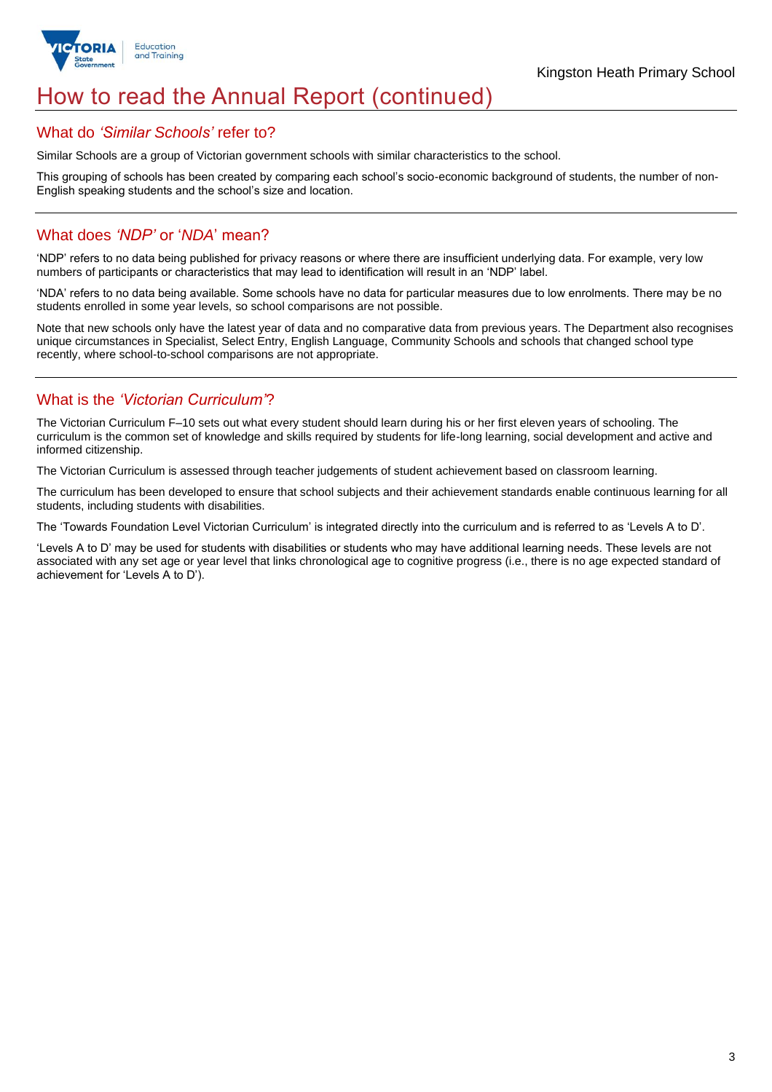

## How to read the Annual Report (continued)

#### What do *'Similar Schools'* refer to?

Similar Schools are a group of Victorian government schools with similar characteristics to the school.

This grouping of schools has been created by comparing each school's socio-economic background of students, the number of non-English speaking students and the school's size and location.

## What does *'NDP'* or '*NDA*' mean?

'NDP' refers to no data being published for privacy reasons or where there are insufficient underlying data. For example, very low numbers of participants or characteristics that may lead to identification will result in an 'NDP' label.

'NDA' refers to no data being available. Some schools have no data for particular measures due to low enrolments. There may be no students enrolled in some year levels, so school comparisons are not possible.

Note that new schools only have the latest year of data and no comparative data from previous years. The Department also recognises unique circumstances in Specialist, Select Entry, English Language, Community Schools and schools that changed school type recently, where school-to-school comparisons are not appropriate.

## What is the *'Victorian Curriculum'*?

The Victorian Curriculum F–10 sets out what every student should learn during his or her first eleven years of schooling. The curriculum is the common set of knowledge and skills required by students for life-long learning, social development and active and informed citizenship.

The Victorian Curriculum is assessed through teacher judgements of student achievement based on classroom learning.

The curriculum has been developed to ensure that school subjects and their achievement standards enable continuous learning for all students, including students with disabilities.

The 'Towards Foundation Level Victorian Curriculum' is integrated directly into the curriculum and is referred to as 'Levels A to D'.

'Levels A to D' may be used for students with disabilities or students who may have additional learning needs. These levels are not associated with any set age or year level that links chronological age to cognitive progress (i.e., there is no age expected standard of achievement for 'Levels A to D').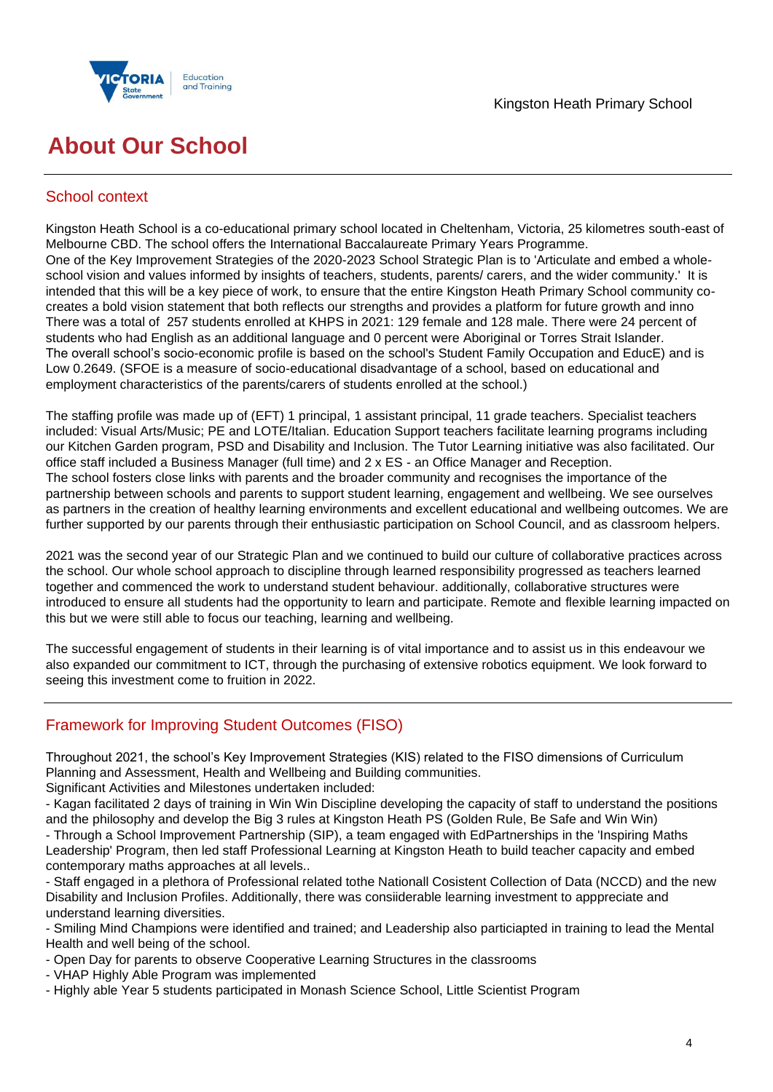



## **About Our School**

## School context

Kingston Heath School is a co-educational primary school located in Cheltenham, Victoria, 25 kilometres south-east of Melbourne CBD. The school offers the International Baccalaureate Primary Years Programme. One of the Key Improvement Strategies of the 2020-2023 School Strategic Plan is to 'Articulate and embed a wholeschool vision and values informed by insights of teachers, students, parents/ carers, and the wider community.' It is intended that this will be a key piece of work, to ensure that the entire Kingston Heath Primary School community cocreates a bold vision statement that both reflects our strengths and provides a platform for future growth and inno There was a total of 257 students enrolled at KHPS in 2021: 129 female and 128 male. There were 24 percent of students who had English as an additional language and 0 percent were Aboriginal or Torres Strait Islander. The overall school's socio-economic profile is based on the school's Student Family Occupation and EducE) and is Low 0.2649. (SFOE is a measure of socio-educational disadvantage of a school, based on educational and employment characteristics of the parents/carers of students enrolled at the school.)

The staffing profile was made up of (EFT) 1 principal, 1 assistant principal, 11 grade teachers. Specialist teachers included: Visual Arts/Music; PE and LOTE/Italian. Education Support teachers facilitate learning programs including our Kitchen Garden program, PSD and Disability and Inclusion. The Tutor Learning initiative was also facilitated. Our office staff included a Business Manager (full time) and 2 x ES - an Office Manager and Reception. The school fosters close links with parents and the broader community and recognises the importance of the partnership between schools and parents to support student learning, engagement and wellbeing. We see ourselves as partners in the creation of healthy learning environments and excellent educational and wellbeing outcomes. We are further supported by our parents through their enthusiastic participation on School Council, and as classroom helpers.

2021 was the second year of our Strategic Plan and we continued to build our culture of collaborative practices across the school. Our whole school approach to discipline through learned responsibility progressed as teachers learned together and commenced the work to understand student behaviour. additionally, collaborative structures were introduced to ensure all students had the opportunity to learn and participate. Remote and flexible learning impacted on this but we were still able to focus our teaching, learning and wellbeing.

The successful engagement of students in their learning is of vital importance and to assist us in this endeavour we also expanded our commitment to ICT, through the purchasing of extensive robotics equipment. We look forward to seeing this investment come to fruition in 2022.

## Framework for Improving Student Outcomes (FISO)

Throughout 2021, the school's Key Improvement Strategies (KIS) related to the FISO dimensions of Curriculum Planning and Assessment, Health and Wellbeing and Building communities. Significant Activities and Milestones undertaken included:

- Kagan facilitated 2 days of training in Win Win Discipline developing the capacity of staff to understand the positions and the philosophy and develop the Big 3 rules at Kingston Heath PS (Golden Rule, Be Safe and Win Win)

- Through a School Improvement Partnership (SIP), a team engaged with EdPartnerships in the 'Inspiring Maths Leadership' Program, then led staff Professional Learning at Kingston Heath to build teacher capacity and embed contemporary maths approaches at all levels..

- Staff engaged in a plethora of Professional related tothe Nationall Cosistent Collection of Data (NCCD) and the new Disability and Inclusion Profiles. Additionally, there was consiiderable learning investment to apppreciate and understand learning diversities.

- Smiling Mind Champions were identified and trained; and Leadership also particiapted in training to lead the Mental Health and well being of the school.

- Open Day for parents to observe Cooperative Learning Structures in the classrooms
- VHAP Highly Able Program was implemented
- Highly able Year 5 students participated in Monash Science School, Little Scientist Program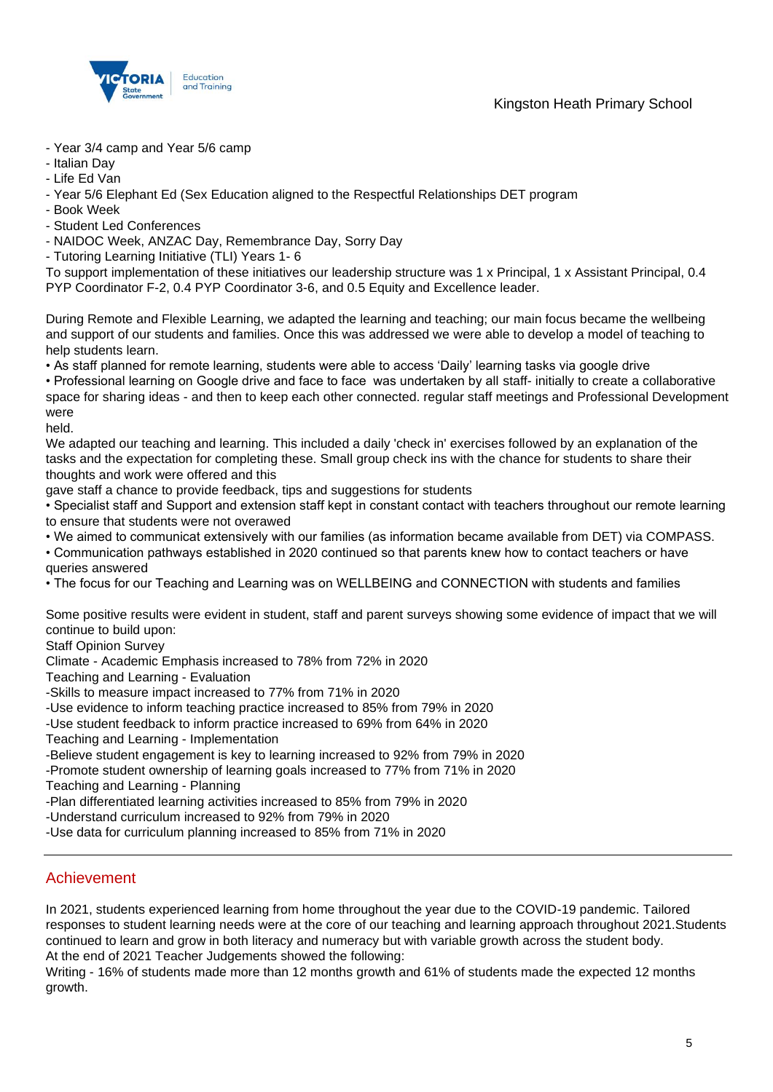

- Year 3/4 camp and Year 5/6 camp
- Italian Day
- Life Ed Van
- Year 5/6 Elephant Ed (Sex Education aligned to the Respectful Relationships DET program
- Book Week
- Student Led Conferences
- NAIDOC Week, ANZAC Day, Remembrance Day, Sorry Day
- Tutoring Learning Initiative (TLI) Years 1- 6

To support implementation of these initiatives our leadership structure was 1 x Principal, 1 x Assistant Principal, 0.4 PYP Coordinator F-2, 0.4 PYP Coordinator 3-6, and 0.5 Equity and Excellence leader.

During Remote and Flexible Learning, we adapted the learning and teaching; our main focus became the wellbeing and support of our students and families. Once this was addressed we were able to develop a model of teaching to help students learn.

• As staff planned for remote learning, students were able to access 'Daily' learning tasks via google drive

• Professional learning on Google drive and face to face was undertaken by all staff- initially to create a collaborative space for sharing ideas - and then to keep each other connected. regular staff meetings and Professional Development were

held.

We adapted our teaching and learning. This included a daily 'check in' exercises followed by an explanation of the tasks and the expectation for completing these. Small group check ins with the chance for students to share their thoughts and work were offered and this

gave staff a chance to provide feedback, tips and suggestions for students

• Specialist staff and Support and extension staff kept in constant contact with teachers throughout our remote learning to ensure that students were not overawed

- We aimed to communicat extensively with our families (as information became available from DET) via COMPASS.
- Communication pathways established in 2020 continued so that parents knew how to contact teachers or have queries answered
- The focus for our Teaching and Learning was on WELLBEING and CONNECTION with students and families

Some positive results were evident in student, staff and parent surveys showing some evidence of impact that we will continue to build upon:

Staff Opinion Survey

Climate - Academic Emphasis increased to 78% from 72% in 2020

Teaching and Learning - Evaluation

-Skills to measure impact increased to 77% from 71% in 2020

-Use evidence to inform teaching practice increased to 85% from 79% in 2020

-Use student feedback to inform practice increased to 69% from 64% in 2020

Teaching and Learning - Implementation

-Believe student engagement is key to learning increased to 92% from 79% in 2020

-Promote student ownership of learning goals increased to 77% from 71% in 2020

Teaching and Learning - Planning

-Plan differentiated learning activities increased to 85% from 79% in 2020

-Understand curriculum increased to 92% from 79% in 2020

-Use data for curriculum planning increased to 85% from 71% in 2020

### Achievement

In 2021, students experienced learning from home throughout the year due to the COVID-19 pandemic. Tailored responses to student learning needs were at the core of our teaching and learning approach throughout 2021.Students continued to learn and grow in both literacy and numeracy but with variable growth across the student body. At the end of 2021 Teacher Judgements showed the following:

Writing - 16% of students made more than 12 months growth and 61% of students made the expected 12 months growth.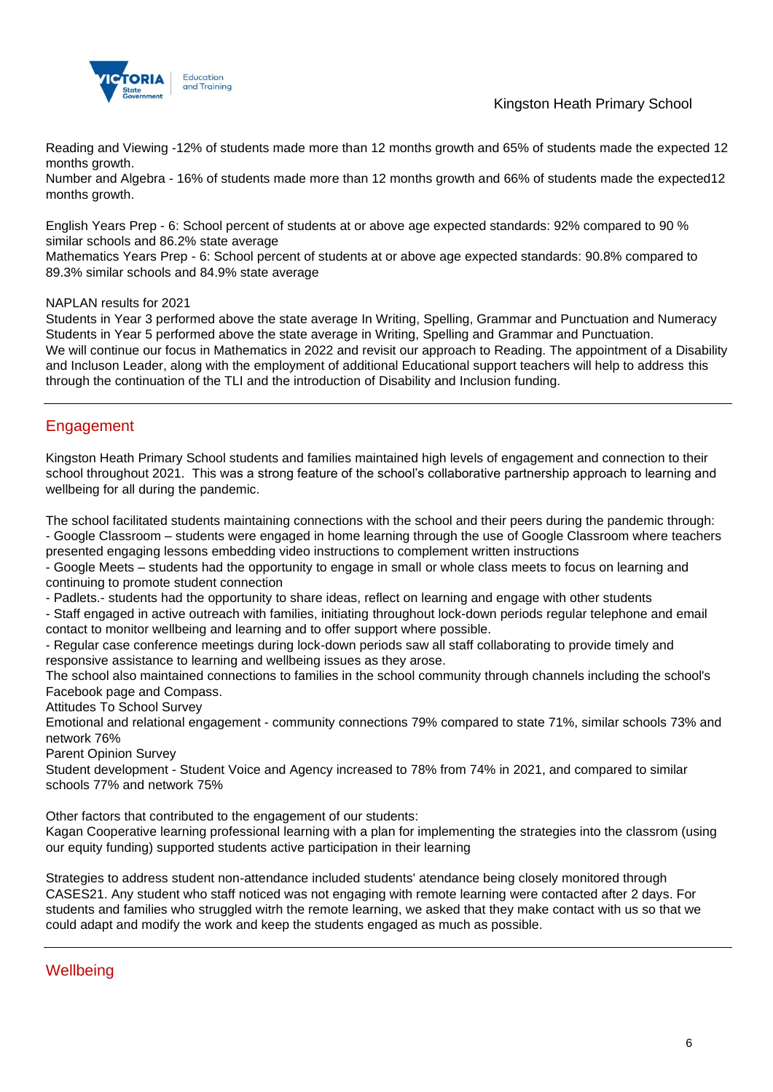

Kingston Heath Primary School

Reading and Viewing -12% of students made more than 12 months growth and 65% of students made the expected 12 months growth.

Number and Algebra - 16% of students made more than 12 months growth and 66% of students made the expected12 months growth.

English Years Prep - 6: School percent of students at or above age expected standards: 92% compared to 90 % similar schools and 86.2% state average

Mathematics Years Prep - 6: School percent of students at or above age expected standards: 90.8% compared to 89.3% similar schools and 84.9% state average

NAPLAN results for 2021

Students in Year 3 performed above the state average In Writing, Spelling, Grammar and Punctuation and Numeracy Students in Year 5 performed above the state average in Writing, Spelling and Grammar and Punctuation. We will continue our focus in Mathematics in 2022 and revisit our approach to Reading. The appointment of a Disability and Incluson Leader, along with the employment of additional Educational support teachers will help to address this through the continuation of the TLI and the introduction of Disability and Inclusion funding.

## Engagement

Kingston Heath Primary School students and families maintained high levels of engagement and connection to their school throughout 2021. This was a strong feature of the school's collaborative partnership approach to learning and wellbeing for all during the pandemic.

The school facilitated students maintaining connections with the school and their peers during the pandemic through: - Google Classroom – students were engaged in home learning through the use of Google Classroom where teachers presented engaging lessons embedding video instructions to complement written instructions

- Google Meets – students had the opportunity to engage in small or whole class meets to focus on learning and continuing to promote student connection

- Padlets.- students had the opportunity to share ideas, reflect on learning and engage with other students

- Staff engaged in active outreach with families, initiating throughout lock-down periods regular telephone and email contact to monitor wellbeing and learning and to offer support where possible.

- Regular case conference meetings during lock-down periods saw all staff collaborating to provide timely and responsive assistance to learning and wellbeing issues as they arose.

The school also maintained connections to families in the school community through channels including the school's Facebook page and Compass.

Attitudes To School Survey

Emotional and relational engagement - community connections 79% compared to state 71%, similar schools 73% and network 76%

Parent Opinion Survey

Student development - Student Voice and Agency increased to 78% from 74% in 2021, and compared to similar schools 77% and network 75%

Other factors that contributed to the engagement of our students:

Kagan Cooperative learning professional learning with a plan for implementing the strategies into the classrom (using our equity funding) supported students active participation in their learning

Strategies to address student non-attendance included students' atendance being closely monitored through CASES21. Any student who staff noticed was not engaging with remote learning were contacted after 2 days. For students and families who struggled witrh the remote learning, we asked that they make contact with us so that we could adapt and modify the work and keep the students engaged as much as possible.

**Wellbeing**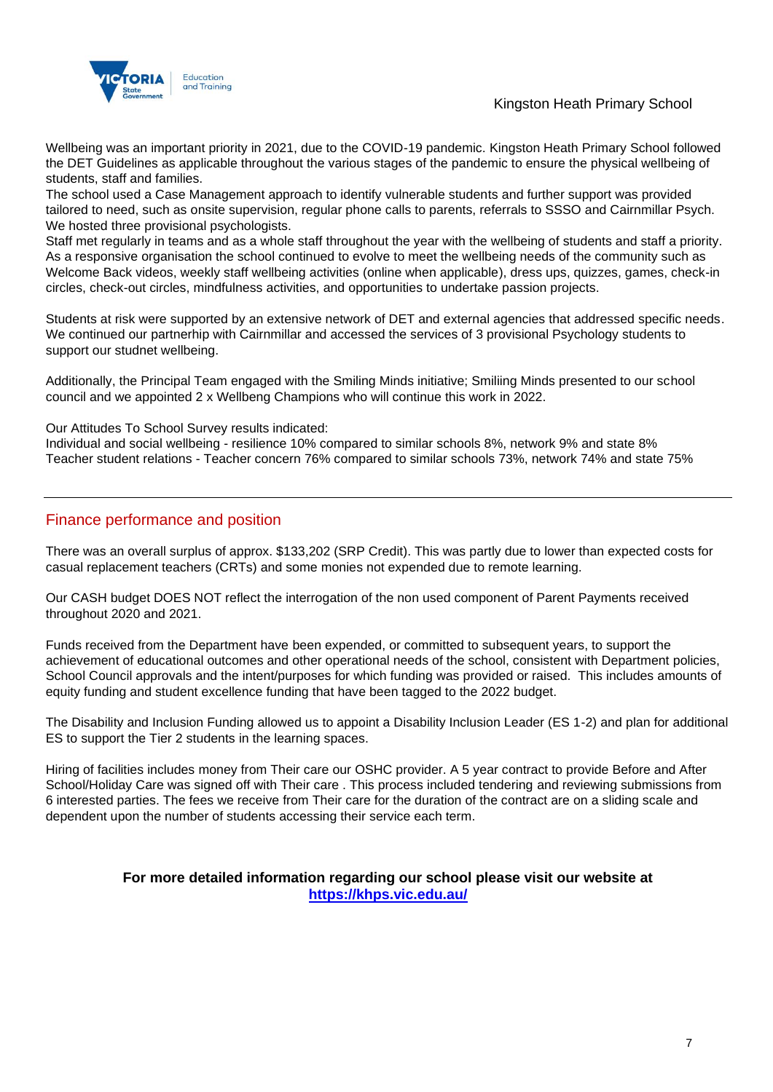



Wellbeing was an important priority in 2021, due to the COVID-19 pandemic. Kingston Heath Primary School followed the DET Guidelines as applicable throughout the various stages of the pandemic to ensure the physical wellbeing of students, staff and families.

The school used a Case Management approach to identify vulnerable students and further support was provided tailored to need, such as onsite supervision, regular phone calls to parents, referrals to SSSO and Cairnmillar Psych. We hosted three provisional psychologists.

Staff met regularly in teams and as a whole staff throughout the year with the wellbeing of students and staff a priority. As a responsive organisation the school continued to evolve to meet the wellbeing needs of the community such as Welcome Back videos, weekly staff wellbeing activities (online when applicable), dress ups, quizzes, games, check-in circles, check-out circles, mindfulness activities, and opportunities to undertake passion projects.

Students at risk were supported by an extensive network of DET and external agencies that addressed specific needs. We continued our partnerhip with Cairnmillar and accessed the services of 3 provisional Psychology students to support our studnet wellbeing.

Additionally, the Principal Team engaged with the Smiling Minds initiative; Smiliing Minds presented to our school council and we appointed 2 x Wellbeng Champions who will continue this work in 2022.

Our Attitudes To School Survey results indicated:

Individual and social wellbeing - resilience 10% compared to similar schools 8%, network 9% and state 8% Teacher student relations - Teacher concern 76% compared to similar schools 73%, network 74% and state 75%

## Finance performance and position

There was an overall surplus of approx. \$133,202 (SRP Credit). This was partly due to lower than expected costs for casual replacement teachers (CRTs) and some monies not expended due to remote learning.

Our CASH budget DOES NOT reflect the interrogation of the non used component of Parent Payments received throughout 2020 and 2021.

Funds received from the Department have been expended, or committed to subsequent years, to support the achievement of educational outcomes and other operational needs of the school, consistent with Department policies, School Council approvals and the intent/purposes for which funding was provided or raised. This includes amounts of equity funding and student excellence funding that have been tagged to the 2022 budget.

The Disability and Inclusion Funding allowed us to appoint a Disability Inclusion Leader (ES 1-2) and plan for additional ES to support the Tier 2 students in the learning spaces.

Hiring of facilities includes money from Their care our OSHC provider. A 5 year contract to provide Before and After School/Holiday Care was signed off with Their care . This process included tendering and reviewing submissions from 6 interested parties. The fees we receive from Their care for the duration of the contract are on a sliding scale and dependent upon the number of students accessing their service each term.

#### **For more detailed information regarding our school please visit our website at <https://khps.vic.edu.au/>**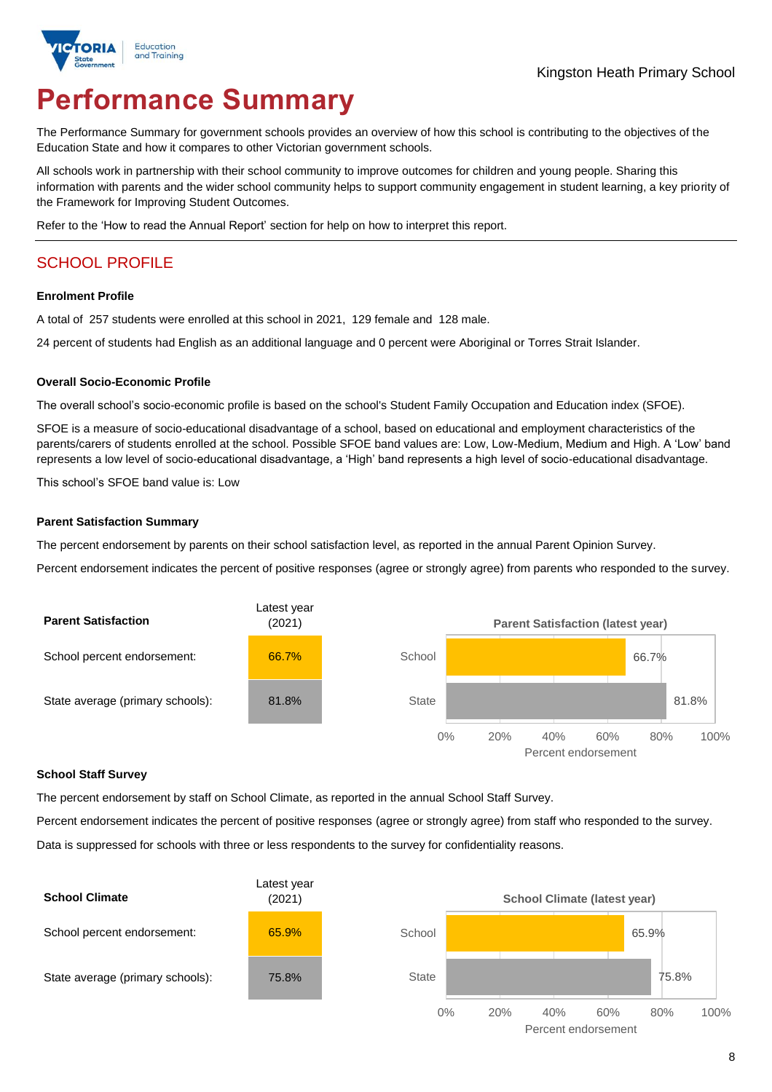

# **Performance Summary**

The Performance Summary for government schools provides an overview of how this school is contributing to the objectives of the Education State and how it compares to other Victorian government schools.

All schools work in partnership with their school community to improve outcomes for children and young people. Sharing this information with parents and the wider school community helps to support community engagement in student learning, a key priority of the Framework for Improving Student Outcomes.

Refer to the 'How to read the Annual Report' section for help on how to interpret this report.

## SCHOOL PROFILE

#### **Enrolment Profile**

A total of 257 students were enrolled at this school in 2021, 129 female and 128 male.

24 percent of students had English as an additional language and 0 percent were Aboriginal or Torres Strait Islander.

#### **Overall Socio-Economic Profile**

The overall school's socio-economic profile is based on the school's Student Family Occupation and Education index (SFOE).

SFOE is a measure of socio-educational disadvantage of a school, based on educational and employment characteristics of the parents/carers of students enrolled at the school. Possible SFOE band values are: Low, Low-Medium, Medium and High. A 'Low' band represents a low level of socio-educational disadvantage, a 'High' band represents a high level of socio-educational disadvantage.

This school's SFOE band value is: Low

#### **Parent Satisfaction Summary**

The percent endorsement by parents on their school satisfaction level, as reported in the annual Parent Opinion Survey.

Percent endorsement indicates the percent of positive responses (agree or strongly agree) from parents who responded to the survey.



#### **School Staff Survey**

The percent endorsement by staff on School Climate, as reported in the annual School Staff Survey.

Percent endorsement indicates the percent of positive responses (agree or strongly agree) from staff who responded to the survey. Data is suppressed for schools with three or less respondents to the survey for confidentiality reasons.

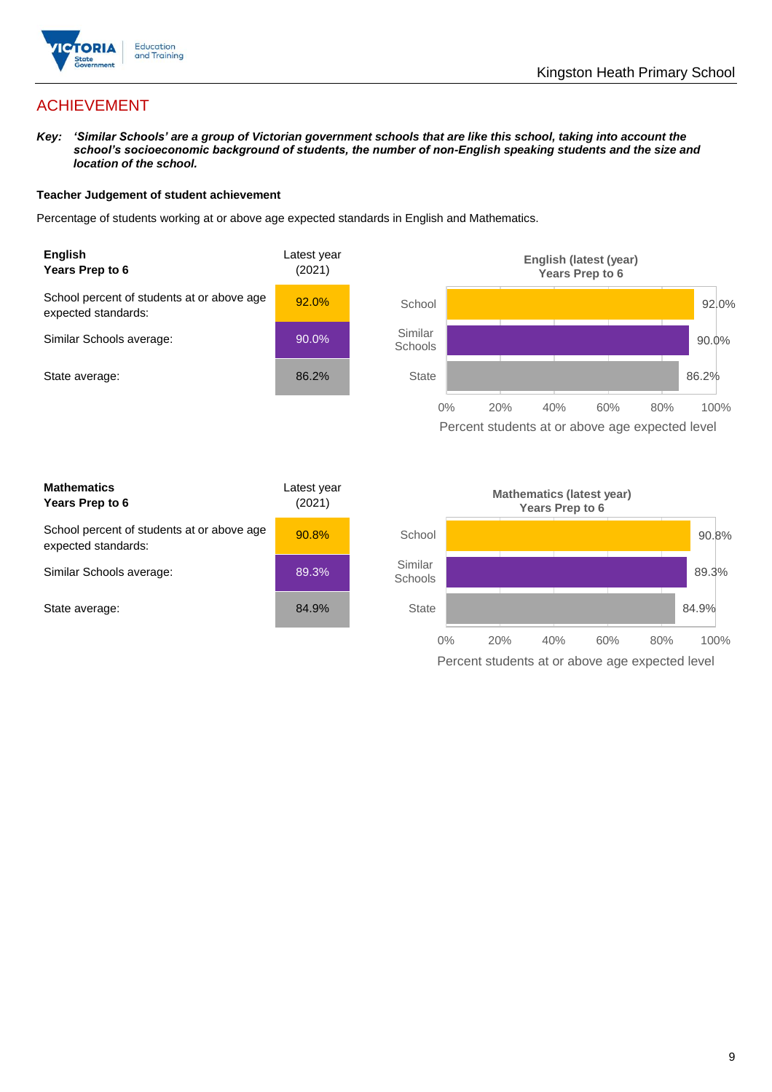

## ACHIEVEMENT

*Key: 'Similar Schools' are a group of Victorian government schools that are like this school, taking into account the school's socioeconomic background of students, the number of non-English speaking students and the size and location of the school.*

#### **Teacher Judgement of student achievement**

Percentage of students working at or above age expected standards in English and Mathematics.





| <b>Mathematics</b><br>Years Prep to 6                             | Latest year<br>(2021) |
|-------------------------------------------------------------------|-----------------------|
| School percent of students at or above age<br>expected standards: | 90.8%                 |
| Similar Schools average:                                          | 89.3%                 |
| State average:                                                    | 84.9%                 |

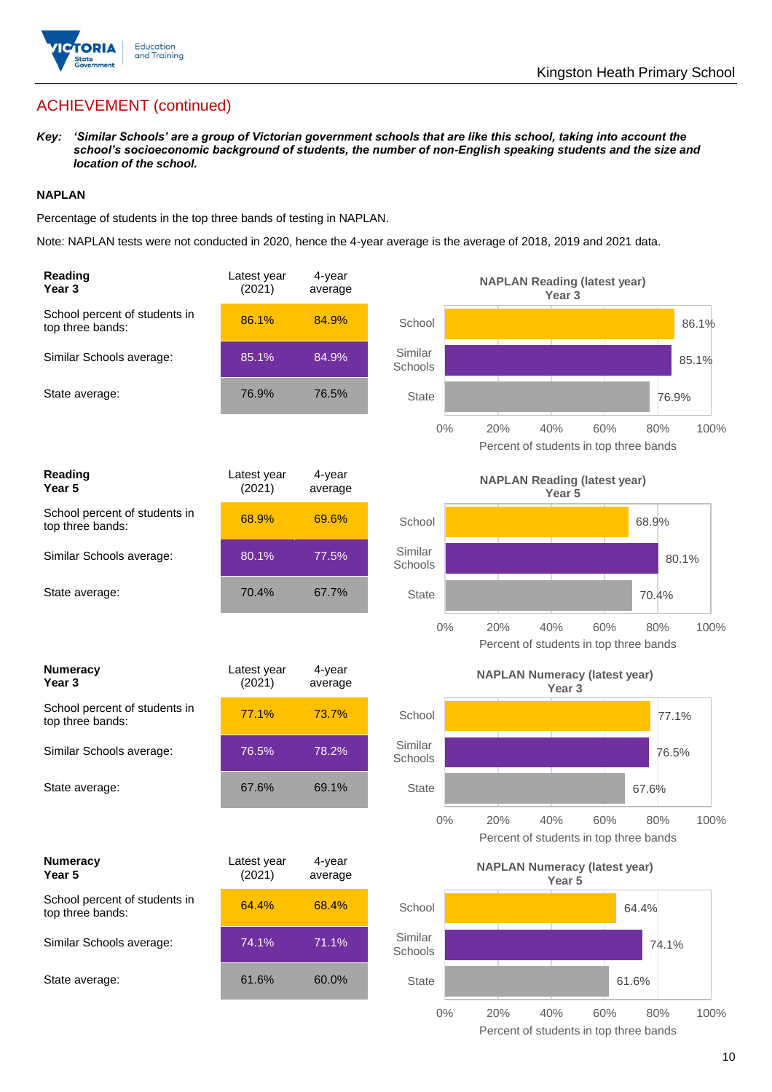

## ACHIEVEMENT (continued)

*Key: 'Similar Schools' are a group of Victorian government schools that are like this school, taking into account the school's socioeconomic background of students, the number of non-English speaking students and the size and location of the school.*

#### **NAPLAN**

Percentage of students in the top three bands of testing in NAPLAN.

Note: NAPLAN tests were not conducted in 2020, hence the 4-year average is the average of 2018, 2019 and 2021 data.

| <b>Reading</b><br>Year <sub>3</sub>               | Latest year<br>(2021) | 4-year<br>average |                    | <b>NAPLAN Reading (latest year)</b><br>Year <sub>3</sub>                   |
|---------------------------------------------------|-----------------------|-------------------|--------------------|----------------------------------------------------------------------------|
| School percent of students in<br>top three bands: | 86.1%                 | 84.9%             | School             | 86.1%                                                                      |
| Similar Schools average:                          | 85.1%                 | 84.9%             | Similar<br>Schools | 85.1%                                                                      |
| State average:                                    | 76.9%                 | 76.5%             | State              | 76.9%                                                                      |
|                                                   |                       |                   | $0\%$              | 20%<br>40%<br>60%<br>100%<br>80%<br>Percent of students in top three bands |
| Reading<br>Year <sub>5</sub>                      | Latest year<br>(2021) | 4-year<br>average |                    | <b>NAPLAN Reading (latest year)</b><br>Year <sub>5</sub>                   |
| School percent of students in<br>top three bands: | 68.9%                 | 69.6%             | School             | 68.9%                                                                      |
| Similar Schools average:                          | 80.1%                 | 77.5%             | Similar<br>Schools | 80.1%                                                                      |
| State average:                                    | 70.4%                 | 67.7%             | State              | 70.4%                                                                      |
|                                                   |                       |                   | $0\%$              | 20%<br>40%<br>60%<br>100%<br>80%<br>Percent of students in top three bands |
| <b>Numeracy</b><br>Year <sub>3</sub>              | Latest year<br>(2021) | 4-year<br>average |                    | <b>NAPLAN Numeracy (latest year)</b><br>Year <sub>3</sub>                  |
| School percent of students in<br>top three bands: | 77.1%                 | 73.7%             | School             | 77.1%                                                                      |
| Similar Schools average:                          | 76.5%                 | 78.2%             | Similar<br>Schools | 76.5%                                                                      |
| State average:                                    | 67.6%                 | 69.1%             | <b>State</b>       | 67.6%                                                                      |
|                                                   |                       |                   | 0%                 | 20%<br>40%<br>60%<br>80%<br>100%<br>Percent of students in top three bands |
| <b>Numeracy</b><br>Year 5                         | Latest year<br>(2021) | 4-year<br>average |                    | <b>NAPLAN Numeracy (latest year)</b><br>Year 5                             |
| School percent of students in<br>top three bands: | 64.4%                 | 68.4%             | School             | 64.4%                                                                      |
| Similar Schools average:                          | 74.1%                 | 71.1%             | Similar<br>Schools | 74.1%                                                                      |
| State average:                                    | 61.6%                 | 60.0%             | <b>State</b>       | 61.6%                                                                      |
|                                                   |                       |                   | $0\%$              | 20%<br>40%<br>60%<br>80%<br>100%                                           |

Percent of students in top three bands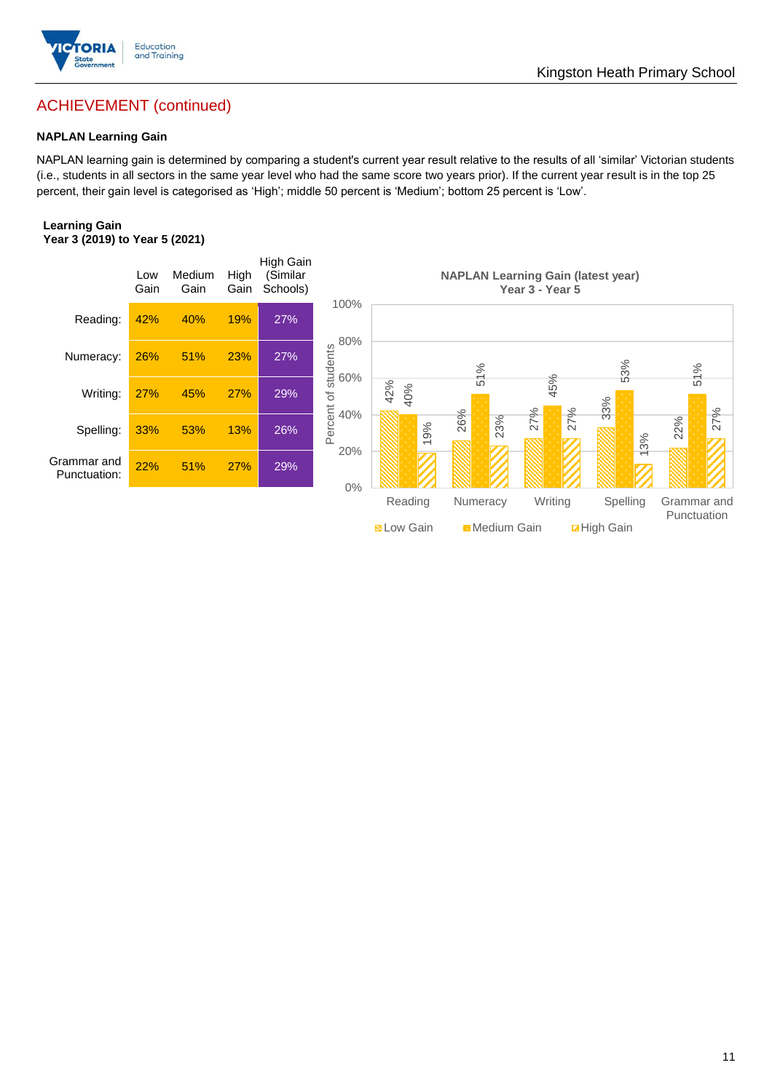

## ACHIEVEMENT (continued)

#### **NAPLAN Learning Gain**

NAPLAN learning gain is determined by comparing a student's current year result relative to the results of all 'similar' Victorian students (i.e., students in all sectors in the same year level who had the same score two years prior). If the current year result is in the top 25 percent, their gain level is categorised as 'High'; middle 50 percent is 'Medium'; bottom 25 percent is 'Low'.

#### **Learning Gain Year 3 (2019) to Year 5 (2021)**

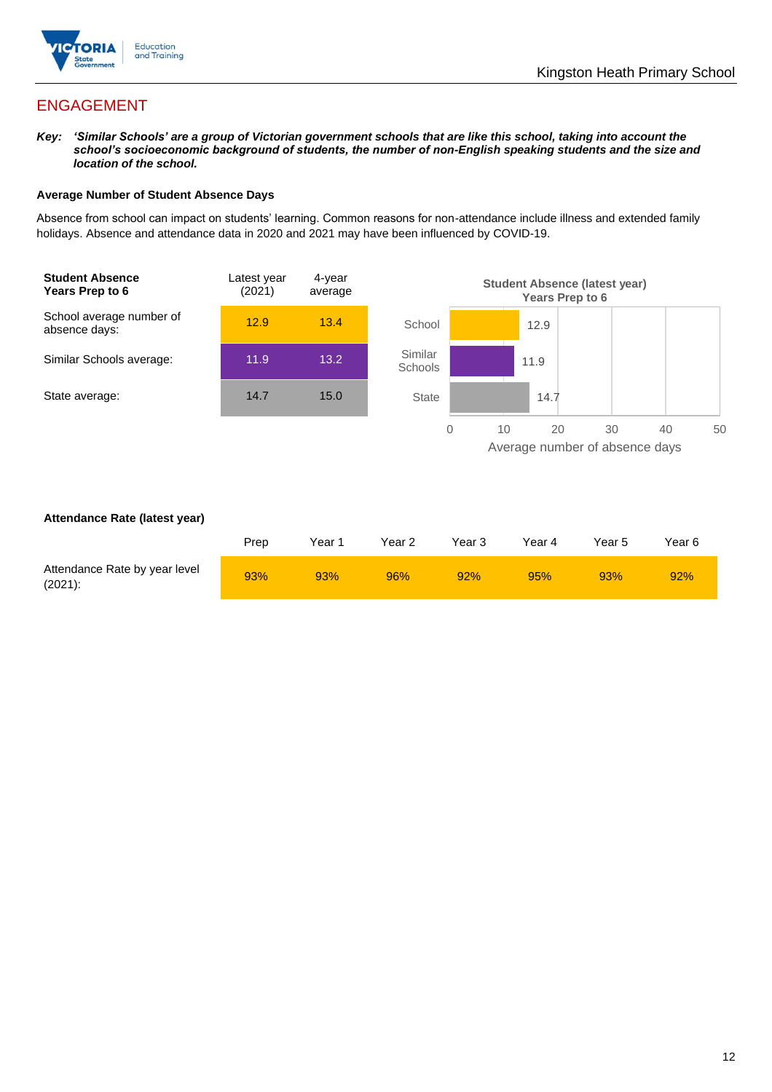

## ENGAGEMENT

*Key: 'Similar Schools' are a group of Victorian government schools that are like this school, taking into account the school's socioeconomic background of students, the number of non-English speaking students and the size and location of the school.*

#### **Average Number of Student Absence Days**

Absence from school can impact on students' learning. Common reasons for non-attendance include illness and extended family holidays. Absence and attendance data in 2020 and 2021 may have been influenced by COVID-19.



#### **Attendance Rate (latest year)**

|                                             | Prep | Year 1 | Year 2 | Year 3 | Year 4 | Year 5 | Year 6 |
|---------------------------------------------|------|--------|--------|--------|--------|--------|--------|
| Attendance Rate by year level<br>$(2021)$ : | 93%  | 93%    | 96%    | 92%    | 95%    | 93%    | 92%    |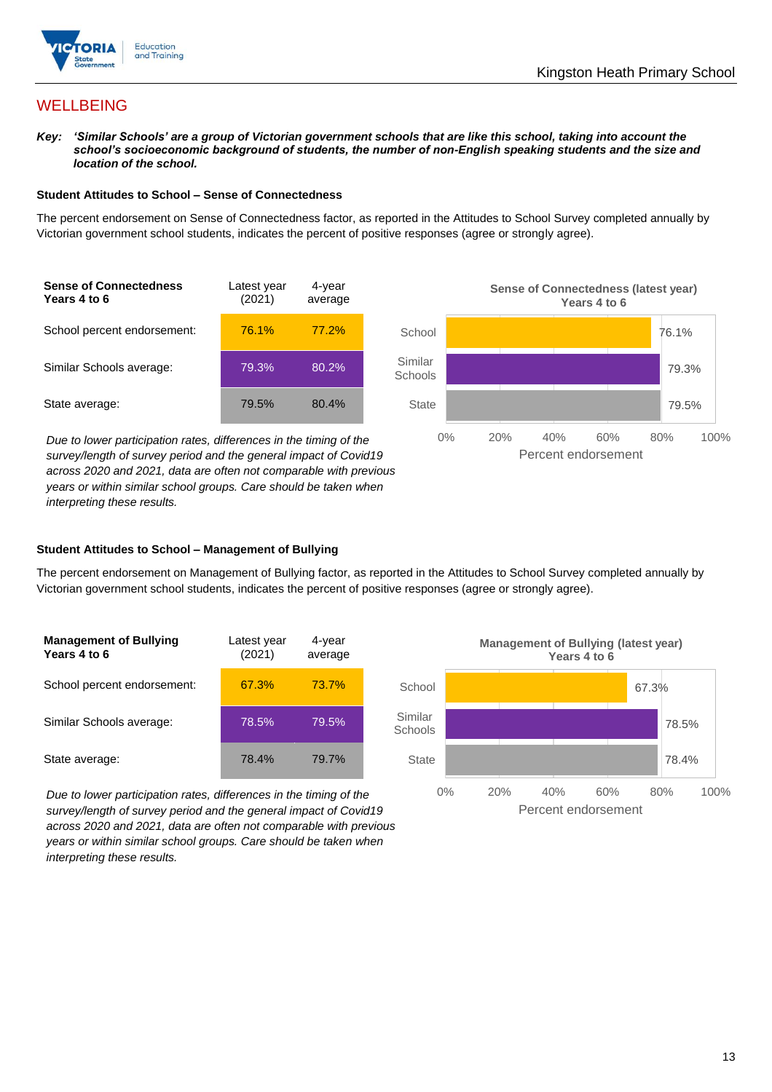

## **WELLBEING**

*Key: 'Similar Schools' are a group of Victorian government schools that are like this school, taking into account the school's socioeconomic background of students, the number of non-English speaking students and the size and location of the school.*

#### **Student Attitudes to School – Sense of Connectedness**

The percent endorsement on Sense of Connectedness factor, as reported in the Attitudes to School Survey completed annually by Victorian government school students, indicates the percent of positive responses (agree or strongly agree).



*Due to lower participation rates, differences in the timing of the survey/length of survey period and the general impact of Covid19 across 2020 and 2021, data are often not comparable with previous years or within similar school groups. Care should be taken when interpreting these results.*



#### **Student Attitudes to School – Management of Bullying**

The percent endorsement on Management of Bullying factor, as reported in the Attitudes to School Survey completed annually by Victorian government school students, indicates the percent of positive responses (agree or strongly agree).

| <b>Management of Bullying</b><br>Years 4 to 6 | Latest year<br>(2021) | 4-year<br>average |  |
|-----------------------------------------------|-----------------------|-------------------|--|
| School percent endorsement:                   | 67.3%                 | 73.7%             |  |
| Similar Schools average:                      | 78.5%                 | 79.5%             |  |
| State average:                                | 78.4%                 | 79.7%             |  |

*Due to lower participation rates, differences in the timing of the survey/length of survey period and the general impact of Covid19 across 2020 and 2021, data are often not comparable with previous years or within similar school groups. Care should be taken when interpreting these results.*

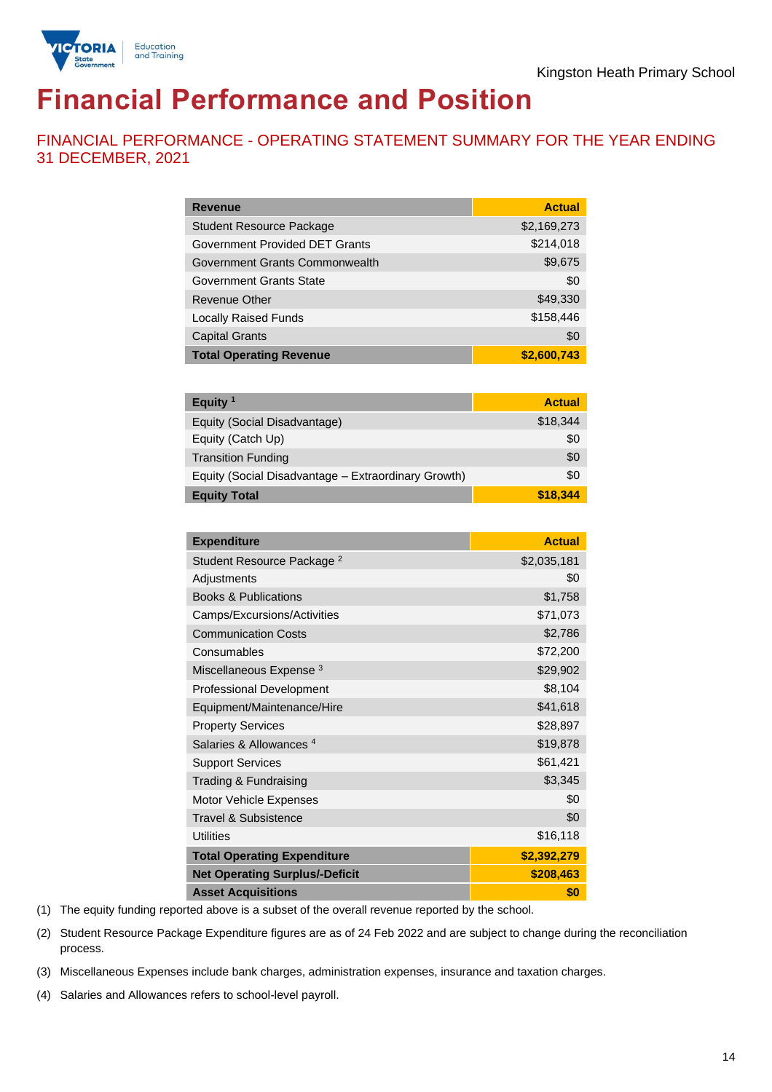

## **Financial Performance and Position**

FINANCIAL PERFORMANCE - OPERATING STATEMENT SUMMARY FOR THE YEAR ENDING 31 DECEMBER, 2021

| <b>Revenue</b>                  | <b>Actual</b> |
|---------------------------------|---------------|
| <b>Student Resource Package</b> | \$2,169,273   |
| Government Provided DET Grants  | \$214,018     |
| Government Grants Commonwealth  | \$9,675       |
| Government Grants State         | \$0           |
| <b>Revenue Other</b>            | \$49,330      |
| <b>Locally Raised Funds</b>     | \$158,446     |
| <b>Capital Grants</b>           | \$0           |
| <b>Total Operating Revenue</b>  | \$2,600,743   |

| Equity $1$                                          | <b>Actual</b> |
|-----------------------------------------------------|---------------|
| Equity (Social Disadvantage)                        | \$18,344      |
| Equity (Catch Up)                                   | \$0           |
| <b>Transition Funding</b>                           | \$0           |
| Equity (Social Disadvantage - Extraordinary Growth) | \$0           |
| <b>Equity Total</b>                                 | \$18,344      |

| <b>Expenditure</b>                    | <b>Actual</b> |
|---------------------------------------|---------------|
| Student Resource Package <sup>2</sup> | \$2,035,181   |
| Adjustments                           | \$0           |
| <b>Books &amp; Publications</b>       | \$1,758       |
| Camps/Excursions/Activities           | \$71,073      |
| <b>Communication Costs</b>            | \$2,786       |
| Consumables                           | \$72,200      |
| Miscellaneous Expense <sup>3</sup>    | \$29,902      |
| <b>Professional Development</b>       | \$8,104       |
| Equipment/Maintenance/Hire            | \$41,618      |
| <b>Property Services</b>              | \$28,897      |
| Salaries & Allowances <sup>4</sup>    | \$19,878      |
| <b>Support Services</b>               | \$61,421      |
| Trading & Fundraising                 | \$3,345       |
| Motor Vehicle Expenses                | \$0           |
| Travel & Subsistence                  | \$0           |
| <b>Utilities</b>                      | \$16,118      |
| <b>Total Operating Expenditure</b>    | \$2,392,279   |
| <b>Net Operating Surplus/-Deficit</b> | \$208,463     |
| <b>Asset Acquisitions</b>             | \$0           |

(1) The equity funding reported above is a subset of the overall revenue reported by the school.

(2) Student Resource Package Expenditure figures are as of 24 Feb 2022 and are subject to change during the reconciliation process.

(3) Miscellaneous Expenses include bank charges, administration expenses, insurance and taxation charges.

(4) Salaries and Allowances refers to school-level payroll.